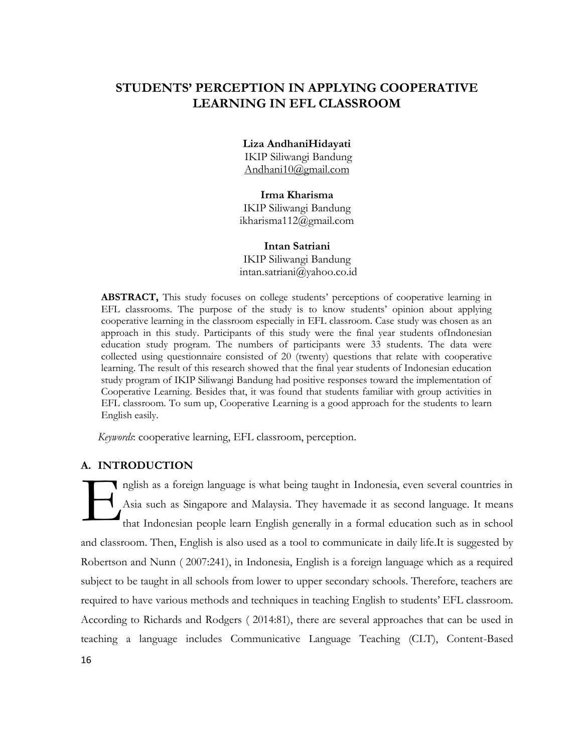# **STUDENTS' PERCEPTION IN APPLYING COOPERATIVE LEARNING IN EFL CLASSROOM**

#### **Liza AndhaniHidayati**

IKIP Siliwangi Bandung [Andhani10@gmail.com](mailto:Andhani10@gmail.com)

# **Irma Kharisma**

IKIP Siliwangi Bandung [ikharisma112@gmail.com](mailto:ikharisma112@gmail.com)

## **Intan Satriani**

IKIP Siliwangi Bandung [intan.satriani@yahoo.co.id](mailto:intan.satriani@yahoo.co.id)

**ABSTRACT,** This study focuses on college students' perceptions of cooperative learning in EFL classrooms. The purpose of the study is to know students' opinion about applying cooperative learning in the classroom especially in EFL classroom. Case study was chosen as an approach in this study. Participants of this study were the final year students ofIndonesian education study program. The numbers of participants were 33 students. The data were collected using questionnaire consisted of 20 (twenty) questions that relate with cooperative learning. The result of this research showed that the final year students of Indonesian education study program of IKIP Siliwangi Bandung had positive responses toward the implementation of Cooperative Learning. Besides that, it was found that students familiar with group activities in EFL classroom. To sum up, Cooperative Learning is a good approach for the students to learn English easily.

*Keywords*: cooperative learning, EFL classroom, perception.

## **A. INTRODUCTION**

nglish as a foreign language is what being taught in Indonesia, even several countries in Asia such as Singapore and Malaysia. They havemade it as second language. It means that Indonesian people learn English generally in a formal education such as in school and classroom. Then, English is also used as a tool to communicate in daily life.It is suggested by Robertson and Nunn ( 2007:241), in Indonesia, English is a foreign language which as a required subject to be taught in all schools from lower to upper secondary schools. Therefore, teachers are required to have various methods and techniques in teaching English to students' EFL classroom. According to Richards and Rodgers ( 2014:81), there are several approaches that can be used in teaching a language includes Communicative Language Teaching (CLT), Content-Based E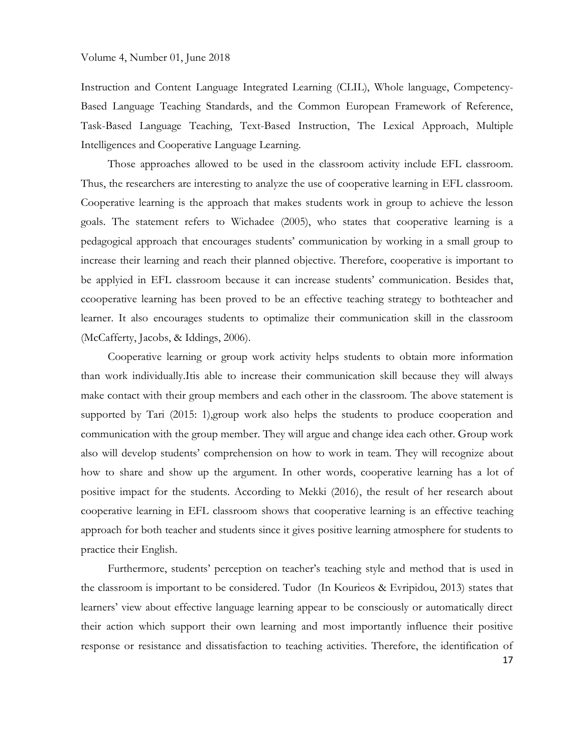Instruction and Content Language Integrated Learning (CLIL), Whole language, Competency-Based Language Teaching Standards, and the Common European Framework of Reference, Task-Based Language Teaching, Text-Based Instruction, The Lexical Approach, Multiple Intelligences and Cooperative Language Learning.

Those approaches allowed to be used in the classroom activity include EFL classroom. Thus, the researchers are interesting to analyze the use of cooperative learning in EFL classroom. Cooperative learning is the approach that makes students work in group to achieve the lesson goals. The statement refers to Wichadee (2005), who states that cooperative learning is a pedagogical approach that encourages students' communication by working in a small group to increase their learning and reach their planned objective. Therefore, cooperative is important to be applyied in EFL classroom because it can increase students' communication. Besides that, ccooperative learning has been proved to be an effective teaching strategy to bothteacher and learner. It also encourages students to optimalize their communication skill in the classroom (McCafferty, Jacobs, & Iddings, 2006).

Cooperative learning or group work activity helps students to obtain more information than work individually.Itis able to increase their communication skill because they will always make contact with their group members and each other in the classroom. The above statement is supported by Tari (2015: 1), group work also helps the students to produce cooperation and communication with the group member. They will argue and change idea each other. Group work also will develop students' comprehension on how to work in team. They will recognize about how to share and show up the argument. In other words, cooperative learning has a lot of positive impact for the students. According to Mekki (2016), the result of her research about cooperative learning in EFL classroom shows that cooperative learning is an effective teaching approach for both teacher and students since it gives positive learning atmosphere for students to practice their English.

Furthermore, students' perception on teacher's teaching style and method that is used in the classroom is important to be considered. Tudor (In Kourieos & Evripidou, 2013) states that learners' view about effective language learning appear to be consciously or automatically direct their action which support their own learning and most importantly influence their positive response or resistance and dissatisfaction to teaching activities. Therefore, the identification of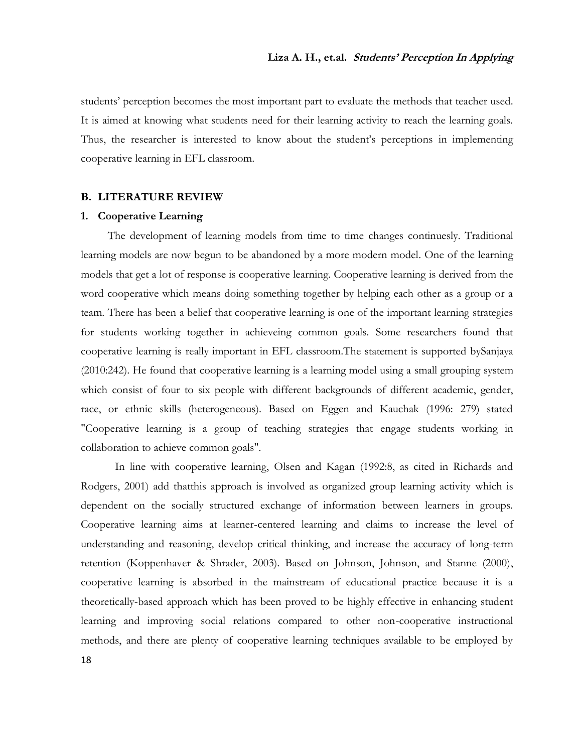students' perception becomes the most important part to evaluate the methods that teacher used. It is aimed at knowing what students need for their learning activity to reach the learning goals. Thus, the researcher is interested to know about the student's perceptions in implementing cooperative learning in EFL classroom.

#### **B. LITERATURE REVIEW**

## **1. Cooperative Learning**

The development of learning models from time to time changes continuesly. Traditional learning models are now begun to be abandoned by a more modern model. One of the learning models that get a lot of response is cooperative learning. Cooperative learning is derived from the word cooperative which means doing something together by helping each other as a group or a team. There has been a belief that cooperative learning is one of the important learning strategies for students working together in achieveing common goals. Some researchers found that cooperative learning is really important in EFL classroom.The statement is supported bySanjaya (2010:242). He found that cooperative learning is a learning model using a small grouping system which consist of four to six people with different backgrounds of different academic, gender, race, or ethnic skills (heterogeneous). Based on Eggen and Kauchak (1996: 279) stated "Cooperative learning is a group of teaching strategies that engage students working in collaboration to achieve common goals".

In line with cooperative learning, Olsen and Kagan (1992:8, as cited in Richards and Rodgers, 2001) add thatthis approach is involved as organized group learning activity which is dependent on the socially structured exchange of information between learners in groups. Cooperative learning aims at learner-centered learning and claims to increase the level of understanding and reasoning, develop critical thinking, and increase the accuracy of long-term retention (Koppenhaver & Shrader, 2003). Based on Johnson, Johnson, and Stanne (2000), cooperative learning is absorbed in the mainstream of educational practice because it is a theoretically-based approach which has been proved to be highly effective in enhancing student learning and improving social relations compared to other non-cooperative instructional methods, and there are plenty of cooperative learning techniques available to be employed by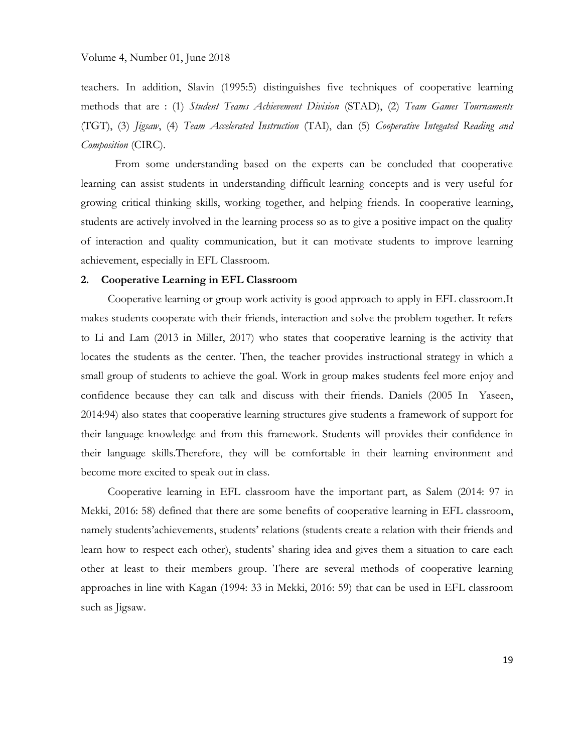teachers. In addition, Slavin (1995:5) distinguishes five techniques of cooperative learning methods that are : (1) *Student Teams Achievement Division* (STAD), (2) *Team Games Tournaments* (TGT), (3) *Jigsaw*, (4) *Team Accelerated Instruction* (TAI), dan (5) *Cooperative Integated Reading and Composition* (CIRC).

From some understanding based on the experts can be concluded that cooperative learning can assist students in understanding difficult learning concepts and is very useful for growing critical thinking skills, working together, and helping friends. In cooperative learning, students are actively involved in the learning process so as to give a positive impact on the quality of interaction and quality communication, but it can motivate students to improve learning achievement, especially in EFL Classroom.

# **2. Cooperative Learning in EFL Classroom**

Cooperative learning or group work activity is good approach to apply in EFL classroom.It makes students cooperate with their friends, interaction and solve the problem together. It refers to Li and Lam (2013 in Miller, 2017) who states that cooperative learning is the activity that locates the students as the center. Then, the teacher provides instructional strategy in which a small group of students to achieve the goal. Work in group makes students feel more enjoy and confidence because they can talk and discuss with their friends. Daniels (2005 In Yaseen, 2014:94) also states that cooperative learning structures give students a framework of support for their language knowledge and from this framework. Students will provides their confidence in their language skills.Therefore, they will be comfortable in their learning environment and become more excited to speak out in class.

Cooperative learning in EFL classroom have the important part, as Salem (2014: 97 in Mekki, 2016: 58) defined that there are some benefits of cooperative learning in EFL classroom, namely students'achievements, students' relations (students create a relation with their friends and learn how to respect each other), students' sharing idea and gives them a situation to care each other at least to their members group. There are several methods of cooperative learning approaches in line with Kagan (1994: 33 in Mekki, 2016: 59) that can be used in EFL classroom such as Jigsaw.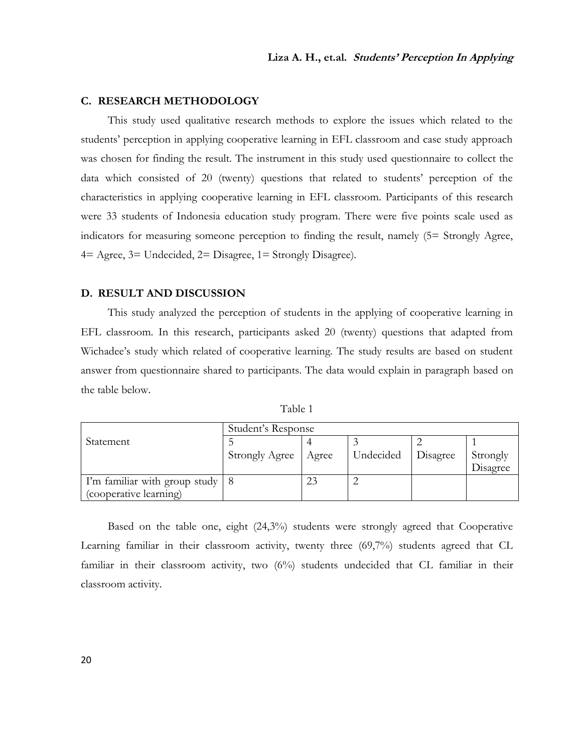### **C. RESEARCH METHODOLOGY**

This study used qualitative research methods to explore the issues which related to the students' perception in applying cooperative learning in EFL classroom and case study approach was chosen for finding the result. The instrument in this study used questionnaire to collect the data which consisted of 20 (twenty) questions that related to students' perception of the characteristics in applying cooperative learning in EFL classroom. Participants of this research were 33 students of Indonesia education study program. There were five points scale used as indicators for measuring someone perception to finding the result, namely (5= Strongly Agree, 4= Agree, 3= Undecided, 2= Disagree, 1= Strongly Disagree).

## **D. RESULT AND DISCUSSION**

This study analyzed the perception of students in the applying of cooperative learning in EFL classroom. In this research, participants asked 20 (twenty) questions that adapted from Wichadee's study which related of cooperative learning. The study results are based on student answer from questionnaire shared to participants. The data would explain in paragraph based on the table below.

| able |  |
|------|--|
|      |  |

|                                     | Student's Response    |       |           |          |          |  |
|-------------------------------------|-----------------------|-------|-----------|----------|----------|--|
| Statement                           |                       |       |           |          |          |  |
|                                     | <b>Strongly Agree</b> | Agree | Undecided | Disagree | Strongly |  |
|                                     |                       |       |           |          | Disagree |  |
| I'm familiar with group study $ 8 $ |                       | 23    |           |          |          |  |
| (cooperative learning)              |                       |       |           |          |          |  |

Based on the table one, eight (24,3%) students were strongly agreed that Cooperative Learning familiar in their classroom activity, twenty three (69,7%) students agreed that CL familiar in their classroom activity, two (6%) students undecided that CL familiar in their classroom activity.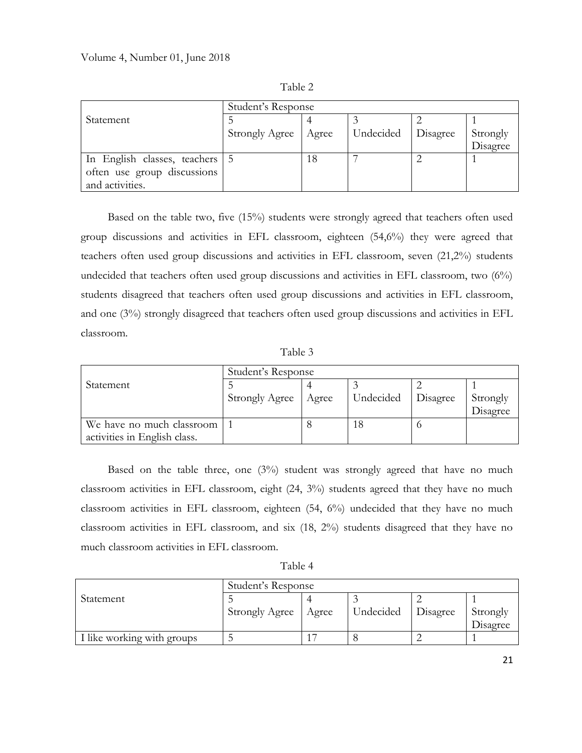|                                  | Student's Response    |       |           |          |          |
|----------------------------------|-----------------------|-------|-----------|----------|----------|
| <b>Statement</b>                 |                       |       |           |          |          |
|                                  | <b>Strongly Agree</b> | Agree | Undecided | Disagree | Strongly |
|                                  |                       |       |           |          | Disagree |
| In English classes, teachers   5 |                       | 18    |           |          |          |
| often use group discussions      |                       |       |           |          |          |
| and activities.                  |                       |       |           |          |          |

Table 2

Based on the table two, five (15%) students were strongly agreed that teachers often used group discussions and activities in EFL classroom, eighteen (54,6%) they were agreed that teachers often used group discussions and activities in EFL classroom, seven (21,2%) students undecided that teachers often used group discussions and activities in EFL classroom, two  $(6\%)$ students disagreed that teachers often used group discussions and activities in EFL classroom, and one (3%) strongly disagreed that teachers often used group discussions and activities in EFL classroom.

Table 3

| Student's Response           |                       |       |           |          |          |
|------------------------------|-----------------------|-------|-----------|----------|----------|
| Statement                    |                       |       |           |          |          |
|                              | <b>Strongly Agree</b> | Agree | Undecided | Disagree | Strongly |
|                              |                       |       |           |          | Disagree |
| We have no much classroom    |                       |       |           |          |          |
| activities in English class. |                       |       |           |          |          |

Based on the table three, one (3%) student was strongly agreed that have no much classroom activities in EFL classroom, eight (24, 3%) students agreed that they have no much classroom activities in EFL classroom, eighteen (54, 6%) undecided that they have no much classroom activities in EFL classroom, and six (18, 2%) students disagreed that they have no much classroom activities in EFL classroom.

|                            | Student's Response |                |           |          |          |  |
|----------------------------|--------------------|----------------|-----------|----------|----------|--|
| Statement                  |                    |                |           |          |          |  |
|                            | Strongly Agree     | Agree          | Undecided | Disagree | Strongly |  |
|                            |                    |                |           |          | Disagree |  |
| I like working with groups |                    | $\overline{1}$ |           |          |          |  |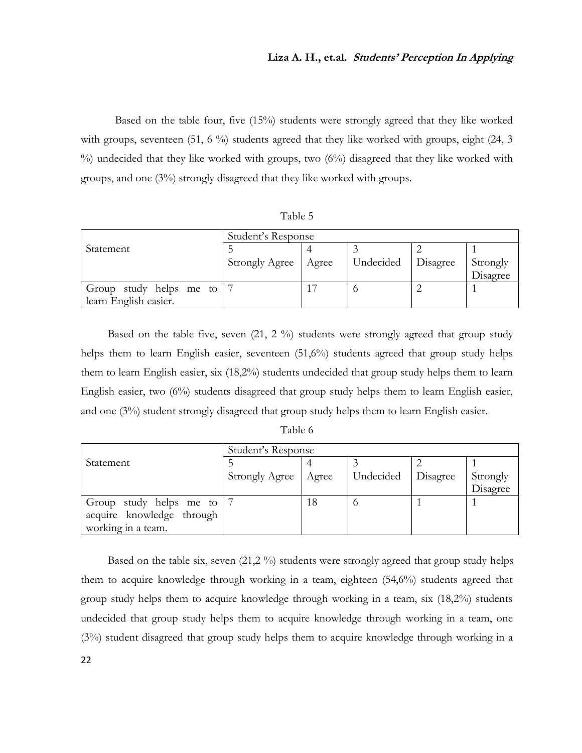Based on the table four, five (15%) students were strongly agreed that they like worked with groups, seventeen  $(51, 6\%)$  students agreed that they like worked with groups, eight  $(24, 3)$ %) undecided that they like worked with groups, two (6%) disagreed that they like worked with groups, and one (3%) strongly disagreed that they like worked with groups.

| anie |  |
|------|--|
|------|--|

|                         | Student's Response    |       |           |          |          |
|-------------------------|-----------------------|-------|-----------|----------|----------|
| Statement               |                       |       |           |          |          |
|                         | <b>Strongly Agree</b> | Agree | Undecided | Disagree | Strongly |
|                         |                       |       |           |          | Disagree |
| Group study helps me to |                       |       |           |          |          |
| learn English easier.   |                       |       |           |          |          |

Based on the table five, seven (21, 2 %) students were strongly agreed that group study helps them to learn English easier, seventeen (51,6%) students agreed that group study helps them to learn English easier, six (18,2%) students undecided that group study helps them to learn English easier, two (6%) students disagreed that group study helps them to learn English easier, and one (3%) student strongly disagreed that group study helps them to learn English easier.

| adie |  |
|------|--|
|      |  |

|                           | Student's Response    |       |           |          |          |
|---------------------------|-----------------------|-------|-----------|----------|----------|
| Statement                 |                       |       |           |          |          |
|                           | <b>Strongly Agree</b> | Agree | Undecided | Disagree | Strongly |
|                           |                       |       |           |          | Disagree |
| Group study helps me to   |                       | 18    |           |          |          |
| acquire knowledge through |                       |       |           |          |          |
| working in a team.        |                       |       |           |          |          |

Based on the table six, seven (21,2 %) students were strongly agreed that group study helps them to acquire knowledge through working in a team, eighteen (54,6%) students agreed that group study helps them to acquire knowledge through working in a team, six (18,2%) students undecided that group study helps them to acquire knowledge through working in a team, one (3%) student disagreed that group study helps them to acquire knowledge through working in a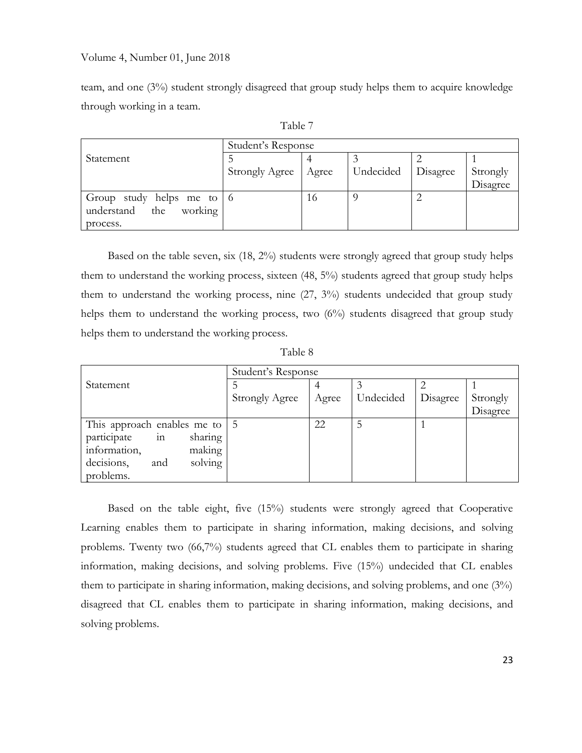## Volume 4, Number 01, June 2018

team, and one (3%) student strongly disagreed that group study helps them to acquire knowledge through working in a team.

| Student's Response                      |                       |       |           |          |          |
|-----------------------------------------|-----------------------|-------|-----------|----------|----------|
| Statement                               |                       |       |           |          |          |
|                                         | <b>Strongly Agree</b> | Agree | Undecided | Disagree | Strongly |
|                                         |                       |       |           |          | Disagree |
| Group study helps me to $\vert 6 \vert$ |                       | 16    |           |          |          |
| working<br>the<br>understand            |                       |       |           |          |          |
| process.                                |                       |       |           |          |          |

| ante |  |
|------|--|
|      |  |

Based on the table seven, six (18, 2%) students were strongly agreed that group study helps them to understand the working process, sixteen (48, 5%) students agreed that group study helps them to understand the working process, nine (27, 3%) students undecided that group study helps them to understand the working process, two (6%) students disagreed that group study helps them to understand the working process.

Table 8

|                                             | Student's Response    |       |           |          |          |
|---------------------------------------------|-----------------------|-------|-----------|----------|----------|
| Statement                                   |                       |       |           |          |          |
|                                             | <b>Strongly Agree</b> | Agree | Undecided | Disagree | Strongly |
|                                             |                       |       |           |          | Disagree |
| This approach enables me to $\vert 5 \vert$ |                       | 22    | 5         |          |          |
| $\overline{m}$<br>participate<br>sharing    |                       |       |           |          |          |
| information,<br>making                      |                       |       |           |          |          |
| decisions,<br>solving<br>and                |                       |       |           |          |          |
| problems.                                   |                       |       |           |          |          |

Based on the table eight, five (15%) students were strongly agreed that Cooperative Learning enables them to participate in sharing information, making decisions, and solving problems. Twenty two (66,7%) students agreed that CL enables them to participate in sharing information, making decisions, and solving problems. Five (15%) undecided that CL enables them to participate in sharing information, making decisions, and solving problems, and one (3%) disagreed that CL enables them to participate in sharing information, making decisions, and solving problems.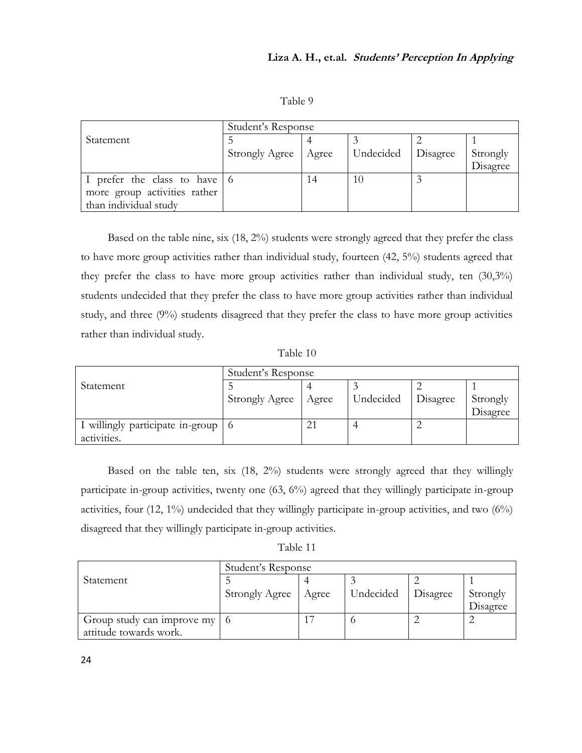Table 9

|                                              | Student's Response    |       |           |          |          |  |
|----------------------------------------------|-----------------------|-------|-----------|----------|----------|--|
| Statement                                    |                       |       |           |          |          |  |
|                                              | <b>Strongly Agree</b> | Agree | Undecided | Disagree | Strongly |  |
|                                              |                       |       |           |          | Disagree |  |
| I prefer the class to have $\vert 6 \rangle$ |                       | 4 ا   | 10        |          |          |  |
| more group activities rather                 |                       |       |           |          |          |  |
| than individual study                        |                       |       |           |          |          |  |

Based on the table nine, six (18, 2%) students were strongly agreed that they prefer the class to have more group activities rather than individual study, fourteen (42, 5%) students agreed that they prefer the class to have more group activities rather than individual study, ten (30,3%) students undecided that they prefer the class to have more group activities rather than individual study, and three (9%) students disagreed that they prefer the class to have more group activities rather than individual study.

Table 10

|                                      | Student's Response |       |           |          |          |  |
|--------------------------------------|--------------------|-------|-----------|----------|----------|--|
| Statement                            |                    |       |           |          |          |  |
|                                      | Strongly Agree     | Agree | Undecided | Disagree | Strongly |  |
|                                      |                    |       |           |          | Disagree |  |
| I willingly participate in-group   6 |                    |       |           |          |          |  |
| activities.                          |                    |       |           |          |          |  |

Based on the table ten, six (18, 2%) students were strongly agreed that they willingly participate in-group activities, twenty one (63, 6%) agreed that they willingly participate in-group activities, four  $(12, 1\%)$  undecided that they willingly participate in-group activities, and two  $(6\%)$ disagreed that they willingly participate in-group activities.

Table 11

|                                              | Student's Response    |       |           |          |          |  |
|----------------------------------------------|-----------------------|-------|-----------|----------|----------|--|
| Statement                                    |                       |       |           |          |          |  |
|                                              | <b>Strongly Agree</b> | Agree | Undecided | Disagree | Strongly |  |
|                                              |                       |       |           |          | Disagree |  |
| Group study can improve my $\vert 6 \rangle$ |                       |       |           |          |          |  |
| attitude towards work.                       |                       |       |           |          |          |  |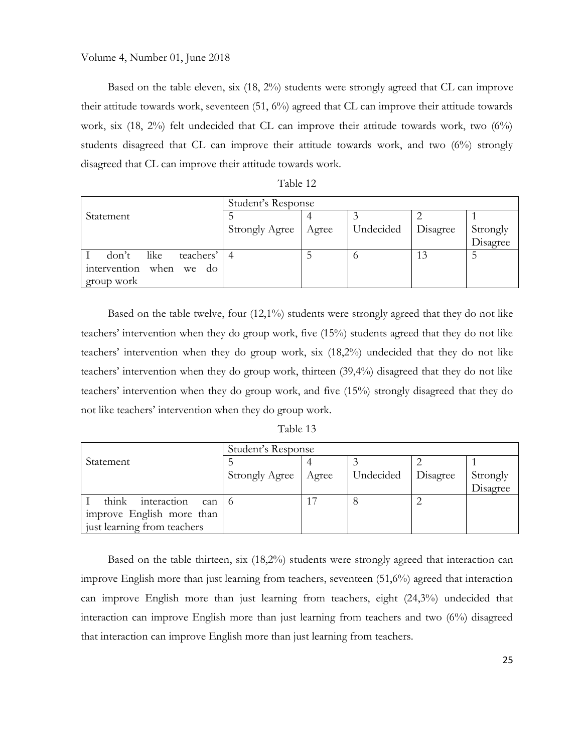Volume 4, Number 01, June 2018

Based on the table eleven, six (18, 2%) students were strongly agreed that CL can improve their attitude towards work, seventeen (51, 6%) agreed that CL can improve their attitude towards work, six (18, 2%) felt undecided that CL can improve their attitude towards work, two (6%) students disagreed that CL can improve their attitude towards work, and two  $(6%)$  strongly disagreed that CL can improve their attitude towards work.

Table 12

|                                  | Student's Response    |       |           |          |          |
|----------------------------------|-----------------------|-------|-----------|----------|----------|
| Statement                        |                       |       |           |          |          |
|                                  | <b>Strongly Agree</b> | Agree | Undecided | Disagree | Strongly |
|                                  |                       |       |           |          | Disagree |
| like<br>teachers'<br>don't       |                       |       |           | 13       |          |
| when<br>intervention<br>we<br>do |                       |       |           |          |          |
| group work                       |                       |       |           |          |          |

Based on the table twelve, four (12,1%) students were strongly agreed that they do not like teachers' intervention when they do group work, five (15%) students agreed that they do not like teachers' intervention when they do group work, six (18,2%) undecided that they do not like teachers' intervention when they do group work, thirteen (39,4%) disagreed that they do not like teachers' intervention when they do group work, and five (15%) strongly disagreed that they do not like teachers' intervention when they do group work.

|  | Table 13 |  |  |
|--|----------|--|--|
|--|----------|--|--|

|                             | Student's Response    |       |           |          |          |
|-----------------------------|-----------------------|-------|-----------|----------|----------|
| Statement                   |                       |       |           |          |          |
|                             | <b>Strongly Agree</b> | Agree | Undecided | Disagree | Strongly |
|                             |                       |       |           |          | Disagree |
| think<br>interaction<br>can | ' 0                   | 17    |           |          |          |
| improve English more than   |                       |       |           |          |          |
| just learning from teachers |                       |       |           |          |          |

Based on the table thirteen, six (18,2%) students were strongly agreed that interaction can improve English more than just learning from teachers, seventeen (51,6%) agreed that interaction can improve English more than just learning from teachers, eight (24,3%) undecided that interaction can improve English more than just learning from teachers and two (6%) disagreed that interaction can improve English more than just learning from teachers.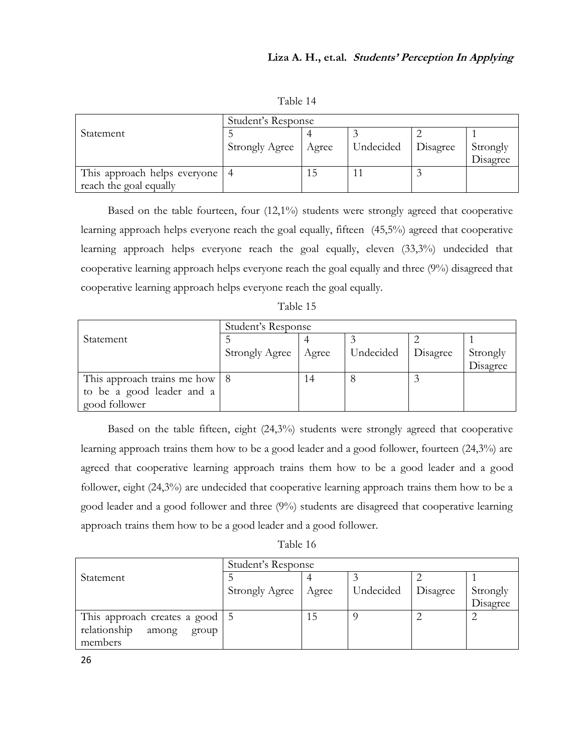| Table 1 |  |  |  |
|---------|--|--|--|
|---------|--|--|--|

|                                  | Student's Response    |       |           |          |          |  |
|----------------------------------|-----------------------|-------|-----------|----------|----------|--|
| Statement                        |                       |       |           |          |          |  |
|                                  | <b>Strongly Agree</b> | Agree | Undecided | Disagree | Strongly |  |
|                                  |                       |       |           |          | Disagree |  |
| This approach helps everyone   4 |                       | 15    |           |          |          |  |
| reach the goal equally           |                       |       |           |          |          |  |

Based on the table fourteen, four (12,1%) students were strongly agreed that cooperative learning approach helps everyone reach the goal equally, fifteen (45,5%) agreed that cooperative learning approach helps everyone reach the goal equally, eleven (33,3%) undecided that cooperative learning approach helps everyone reach the goal equally and three (9%) disagreed that cooperative learning approach helps everyone reach the goal equally.

| Table 15 |  |
|----------|--|
|----------|--|

|                                 | Student's Response    |       |           |          |          |  |
|---------------------------------|-----------------------|-------|-----------|----------|----------|--|
| Statement                       |                       |       |           |          |          |  |
|                                 | <b>Strongly Agree</b> | Agree | Undecided | Disagree | Strongly |  |
|                                 |                       |       |           |          | Disagree |  |
| This approach trains me how   8 |                       | 14    |           |          |          |  |
| to be a good leader and a       |                       |       |           |          |          |  |
| good follower                   |                       |       |           |          |          |  |

Based on the table fifteen, eight (24,3%) students were strongly agreed that cooperative learning approach trains them how to be a good leader and a good follower, fourteen (24,3%) are agreed that cooperative learning approach trains them how to be a good leader and a good follower, eight (24,3%) are undecided that cooperative learning approach trains them how to be a good leader and a good follower and three (9%) students are disagreed that cooperative learning approach trains them how to be a good leader and a good follower.

Table 16

|                                                | Student's Response    |       |           |          |          |
|------------------------------------------------|-----------------------|-------|-----------|----------|----------|
| Statement                                      |                       |       |           |          |          |
|                                                | <b>Strongly Agree</b> | Agree | Undecided | Disagree | Strongly |
|                                                |                       |       |           |          | Disagree |
| This approach creates a good $\vert 5 \rangle$ |                       | 15    |           |          |          |
| relationship<br>among<br>group                 |                       |       |           |          |          |
| members                                        |                       |       |           |          |          |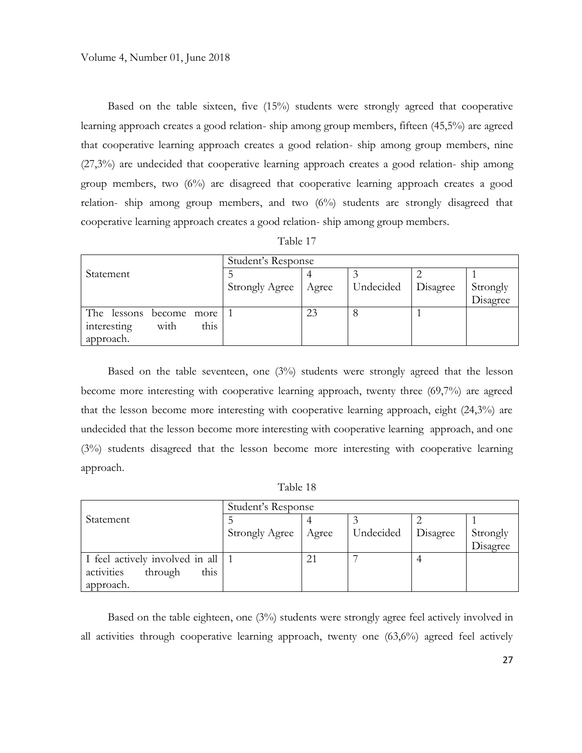Based on the table sixteen, five (15%) students were strongly agreed that cooperative learning approach creates a good relation- ship among group members, fifteen (45,5%) are agreed that cooperative learning approach creates a good relation- ship among group members, nine (27,3%) are undecided that cooperative learning approach creates a good relation- ship among group members, two (6%) are disagreed that cooperative learning approach creates a good relation- ship among group members, and two (6%) students are strongly disagreed that cooperative learning approach creates a good relation- ship among group members.

| Table 1 |  |
|---------|--|
|         |  |

| Student's Response          |                       |       |           |          |          |
|-----------------------------|-----------------------|-------|-----------|----------|----------|
| Statement                   |                       |       |           |          |          |
|                             | <b>Strongly Agree</b> | Agree | Undecided | Disagree | Strongly |
|                             |                       |       |           |          | Disagree |
| The lessons<br>become more  |                       | 23    | O         |          |          |
| this<br>with<br>interesting |                       |       |           |          |          |
| approach.                   |                       |       |           |          |          |

Based on the table seventeen, one (3%) students were strongly agreed that the lesson become more interesting with cooperative learning approach, twenty three (69,7%) are agreed that the lesson become more interesting with cooperative learning approach, eight (24,3%) are undecided that the lesson become more interesting with cooperative learning approach, and one (3%) students disagreed that the lesson become more interesting with cooperative learning approach.

Table 18

|                                 | Student's Response    |       |           |          |          |
|---------------------------------|-----------------------|-------|-----------|----------|----------|
| Statement                       |                       |       |           |          |          |
|                                 | <b>Strongly Agree</b> | Agree | Undecided | Disagree | Strongly |
|                                 |                       |       |           |          | Disagree |
| I feel actively involved in all |                       | 21    |           |          |          |
| activities<br>this<br>through   |                       |       |           |          |          |
| approach.                       |                       |       |           |          |          |

Based on the table eighteen, one (3%) students were strongly agree feel actively involved in all activities through cooperative learning approach, twenty one (63,6%) agreed feel actively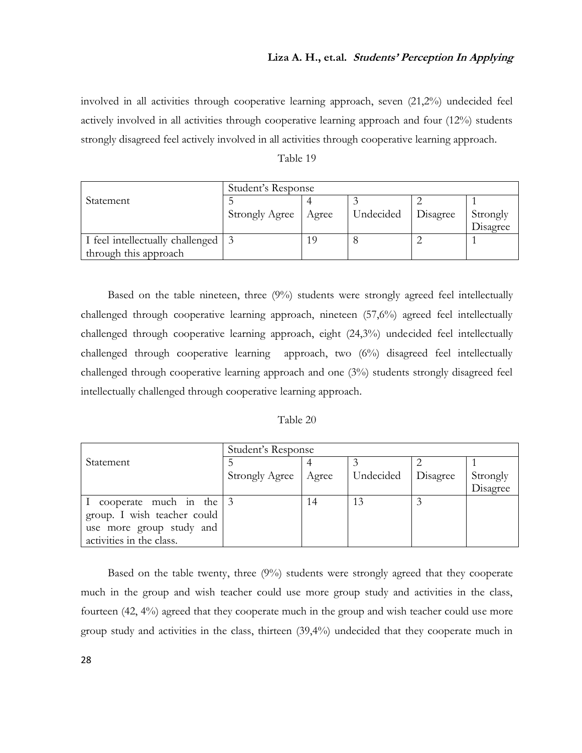# **Liza A. H., et.al. Students' Perception In Applying**

involved in all activities through cooperative learning approach, seven (21,2%) undecided feel actively involved in all activities through cooperative learning approach and four (12%) students strongly disagreed feel actively involved in all activities through cooperative learning approach.

| Table 19 |  |
|----------|--|
|----------|--|

|                                      | Student's Response    |       |           |          |          |  |
|--------------------------------------|-----------------------|-------|-----------|----------|----------|--|
| Statement                            |                       |       |           |          |          |  |
|                                      | <b>Strongly Agree</b> | Agree | Undecided | Disagree | Strongly |  |
|                                      |                       |       |           |          | Disagree |  |
| I feel intellectually challenged   3 |                       |       |           |          |          |  |
| through this approach                |                       |       |           |          |          |  |

Based on the table nineteen, three (9%) students were strongly agreed feel intellectually challenged through cooperative learning approach, nineteen (57,6%) agreed feel intellectually challenged through cooperative learning approach, eight (24,3%) undecided feel intellectually challenged through cooperative learning approach, two (6%) disagreed feel intellectually challenged through cooperative learning approach and one (3%) students strongly disagreed feel intellectually challenged through cooperative learning approach.

| Table 20 |  |
|----------|--|
|          |  |

|                                       | Student's Response    |       |           |                 |          |
|---------------------------------------|-----------------------|-------|-----------|-----------------|----------|
| Statement                             |                       |       |           |                 |          |
|                                       | <b>Strongly Agree</b> | Agree | Undecided | <b>Disagree</b> | Strongly |
|                                       |                       |       |           |                 | Disagree |
| I cooperate much in the $\frac{3}{5}$ |                       | 14    | 13        |                 |          |
| group. I wish teacher could           |                       |       |           |                 |          |
| use more group study and              |                       |       |           |                 |          |
| activities in the class.              |                       |       |           |                 |          |

Based on the table twenty, three (9%) students were strongly agreed that they cooperate much in the group and wish teacher could use more group study and activities in the class, fourteen (42, 4%) agreed that they cooperate much in the group and wish teacher could use more group study and activities in the class, thirteen (39,4%) undecided that they cooperate much in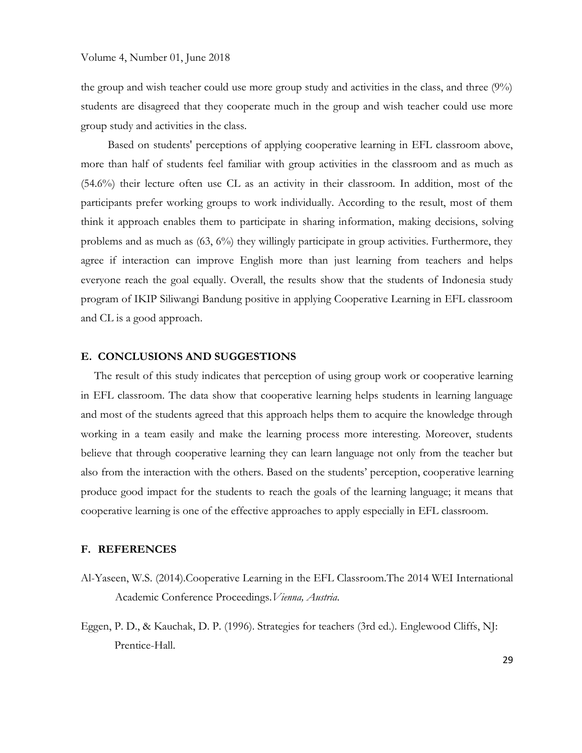the group and wish teacher could use more group study and activities in the class, and three (9%) students are disagreed that they cooperate much in the group and wish teacher could use more group study and activities in the class.

Based on students' perceptions of applying cooperative learning in EFL classroom above, more than half of students feel familiar with group activities in the classroom and as much as (54.6%) their lecture often use CL as an activity in their classroom. In addition, most of the participants prefer working groups to work individually. According to the result, most of them think it approach enables them to participate in sharing information, making decisions, solving problems and as much as (63, 6%) they willingly participate in group activities. Furthermore, they agree if interaction can improve English more than just learning from teachers and helps everyone reach the goal equally. Overall, the results show that the students of Indonesia study program of IKIP Siliwangi Bandung positive in applying Cooperative Learning in EFL classroom and CL is a good approach.

## **E. CONCLUSIONS AND SUGGESTIONS**

The result of this study indicates that perception of using group work or cooperative learning in EFL classroom. The data show that cooperative learning helps students in learning language and most of the students agreed that this approach helps them to acquire the knowledge through working in a team easily and make the learning process more interesting. Moreover, students believe that through cooperative learning they can learn language not only from the teacher but also from the interaction with the others. Based on the students' perception, cooperative learning produce good impact for the students to reach the goals of the learning language; it means that cooperative learning is one of the effective approaches to apply especially in EFL classroom.

#### **F. REFERENCES**

- Al-Yaseen, W.S. (2014).Cooperative Learning in the EFL Classroom.The 2014 WEI International Academic Conference Proceedings.*Vienna, Austria*.
- Eggen, P. D., & Kauchak, D. P. (1996). Strategies for teachers (3rd ed.). Englewood Cliffs, NJ: Prentice-Hall.